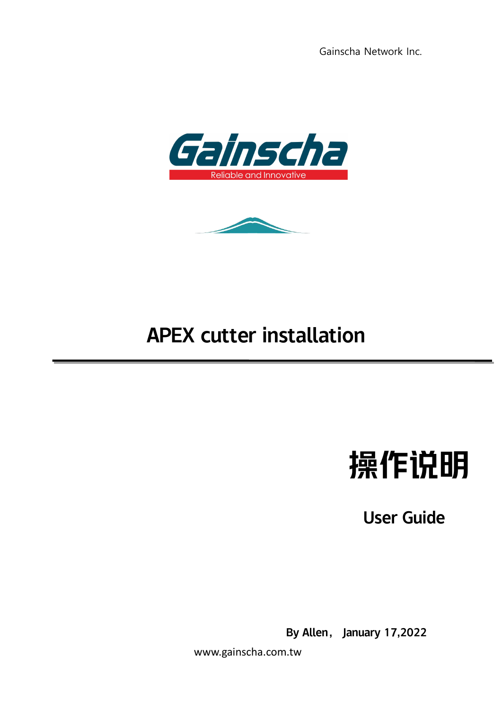



# APEX cutter installation



User Guide

By Allen, January 17,2022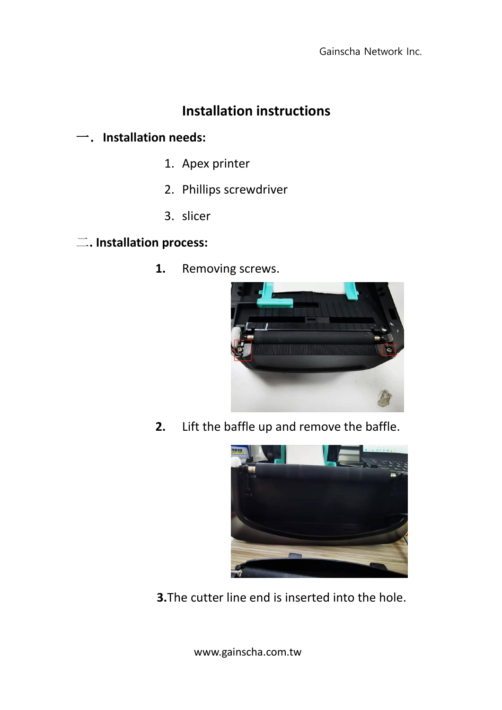## **Installation instructions**

### 一.**Installation needs:**

- 1. Apex printer
- 2. Phillips screwdriver
- 3. slicer

#### 二**. Installation process:**

**1.** Removing screws.



**2.** Lift the baffle up and remove the baffle.



**3.**The cutter line end is inserted into the hole.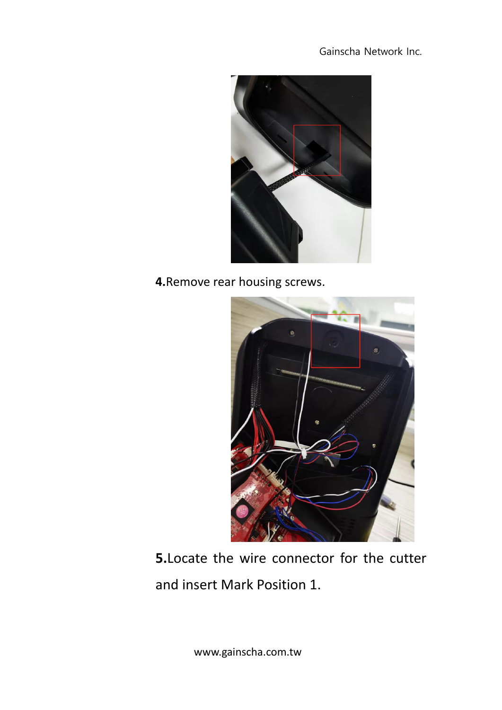

**4.**Remove rear housing screws.



**5.**Locate the wire connector for the cutter and insert Mark Position 1.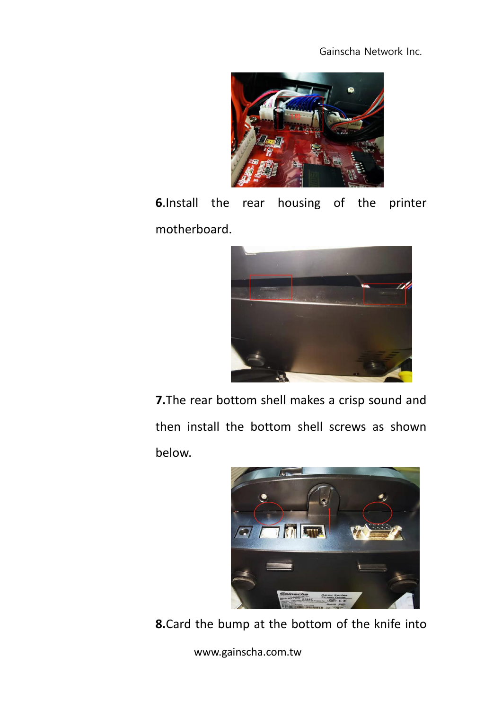

**6**.Install the rear housing of the printer motherboard.



**7.**The rear bottom shell makes a crisp sound and then install the bottom shell screws as shown below.



**8.**Card the bump at the bottom of the knife into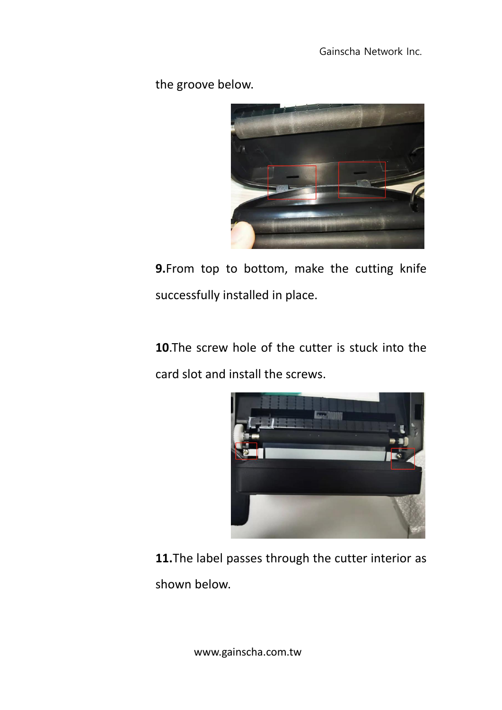the groove below.



**9.**From top to bottom, make the cutting knife successfully installed in place.

**10**.The screw hole of the cutter is stuck into the card slot and install the screws.



**11.**The label passes through the cutter interior as shown below.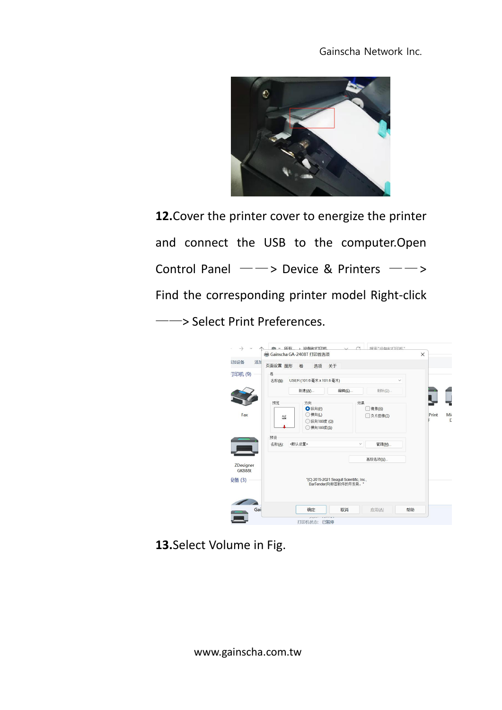

**12.**Cover the printer cover to energize the printer and connect the USB to the computer.Open Control Panel ——> Device & Printers ——> Find the corresponding printer model Right-click ——> Select Print Preferences.

| 动心备<br>添加                  | 页面设置 图形                                                 | 卷<br>选项                                                    | 关于                                                                 |              |                  |       |                |
|----------------------------|---------------------------------------------------------|------------------------------------------------------------|--------------------------------------------------------------------|--------------|------------------|-------|----------------|
| 丁印机(9)                     | 卷<br>USER (101.6毫米 x 101.6毫米)<br>名称(N):<br>$\checkmark$ |                                                            |                                                                    |              |                  |       |                |
|                            |                                                         | 新建(W)                                                      | 编辑(E)                                                              |              | 删除(D)            |       |                |
| Fax                        | 预览<br>ALE                                               | 方向<br><b>O</b> 纵向(P)<br>○横向(L)<br>○纵向180度(Q)<br>○横向180度(S) |                                                                    | 效果           | 镜像(R)<br>负片图像(I) | Print | Mi<br>$\Gamma$ |
|                            | 预设<br>名称(A):                                            | 《默认设置>                                                     |                                                                    | $\checkmark$ | 管理(M)            |       |                |
| ZDesigner<br><b>GK888t</b> |                                                         |                                                            |                                                                    |              | 高级选项(V)          |       |                |
| 殳备(3)                      |                                                         |                                                            | "(C) 2015-2021 Seagull Scientific, Inc.,<br>BarTender(R)标签软件的开发商。" |              |                  |       |                |
|                            |                                                         |                                                            |                                                                    |              |                  |       |                |

**13.**Select Volume in Fig.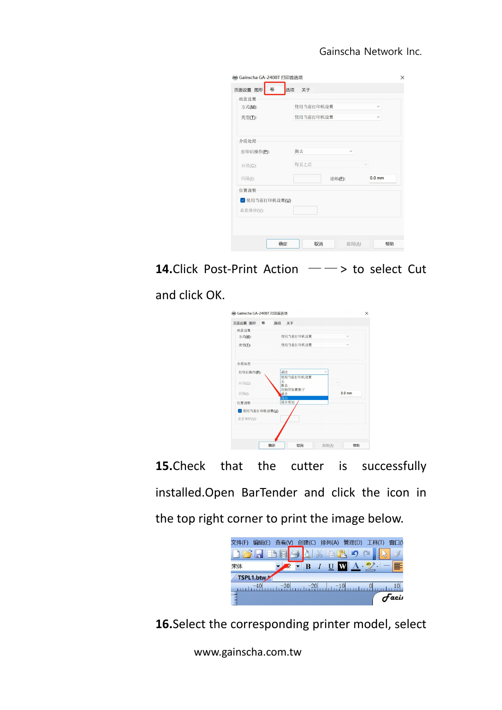| 方式(M):         | 使用当前打印机设置<br>$\checkmark$ |              |  |  |  |  |
|----------------|---------------------------|--------------|--|--|--|--|
| 类型(I):         | 使用当前打印机设置                 | $\checkmark$ |  |  |  |  |
| 介质处理           |                           |              |  |  |  |  |
| 打印后操作(P):      | 撕去<br>$\checkmark$        |              |  |  |  |  |
| 出现(C):         | 每页之后                      | $\vee$       |  |  |  |  |
| 问隔(I):         | 进纸(E):                    | $0.0$ mm     |  |  |  |  |
| 位置调整           |                           |              |  |  |  |  |
| ◇ 使用当前打印机设置(U) |                           |              |  |  |  |  |
| 垂直偏移(V):       |                           |              |  |  |  |  |

**14.**Click Post-Print Action — — > to select Cut

#### and click OK.



**15.**Check that the cutter is successfully installed.Open BarTender and click the icon in the top right corner to print the image below.



**16.**Select the corresponding printer model, select